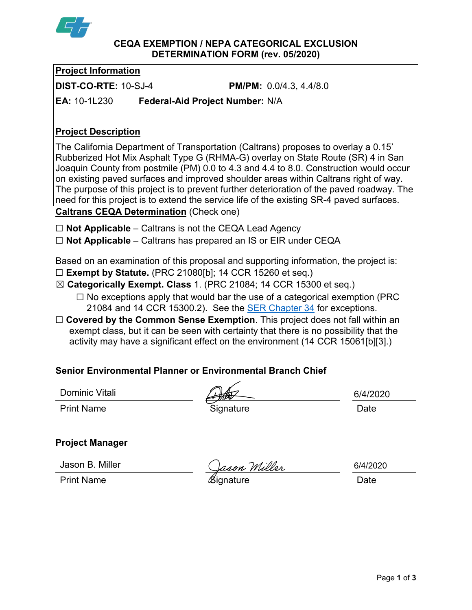

**CEQA EXEMPTION / NEPA CATEGORICAL EXCLUSION DETERMINATION FORM (rev. 05/2020)**

**Project Information**

**DIST-CO-RTE:** 10-SJ-4 **PM/PM:** 0.0/4.3, 4.4/8.0

**EA:** 10-1L230 **Federal-Aid Project Number:** N/A

## **Project Description**

The California Department of Transportation (Caltrans) proposes to overlay a 0.15' Rubberized Hot Mix Asphalt Type G (RHMA-G) overlay on State Route (SR) 4 in San Joaquin County from postmile (PM) 0.0 to 4.3 and 4.4 to 8.0. Construction would occur on existing paved surfaces and improved shoulder areas within Caltrans right of way. The purpose of this project is to prevent further deterioration of the paved roadway. The need for this project is to extend the service life of the existing SR-4 paved surfaces. **Caltrans CEQA Determination** (Check one)

☐ **Not Applicable** – Caltrans is not the CEQA Lead Agency

☐ **Not Applicable** – Caltrans has prepared an IS or EIR under CEQA

Based on an examination of this proposal and supporting information, the project is:

- ☐ **Exempt by Statute.** (PRC 21080[b]; 14 CCR 15260 et seq.)
- ☒ **Categorically Exempt. Class** 1. (PRC 21084; 14 CCR 15300 et seq.)
	- $\Box$  No exceptions apply that would bar the use of a categorical exemption (PRC 21084 and 14 CCR 15300.2). See the **SER Chapter 34** for exceptions.
- □ **Covered by the Common Sense Exemption**. This project does not fall within an exempt class, but it can be seen with certainty that there is no possibility that the activity may have a significant effect on the environment (14 CCR 15061[b][3].)

# **Senior Environmental Planner or Environmental Branch Chief**

Dominic Vitali

6/4/2020

Print Name **Signature Construction Date Date** 

# **Project Manager**

Jason B. Miller

Vallen Miller (*Gason Willer* 1942)<br>Print Name (*Signature* 1942)

6/4/2020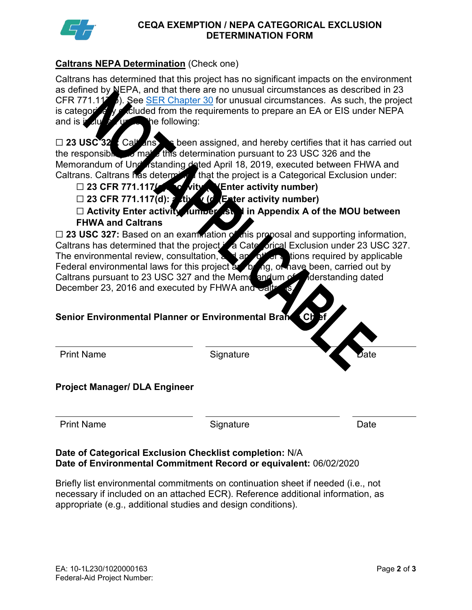

### **CEQA EXEMPTION / NEPA CATEGORICAL EXCLUSION DETERMINATION FORM**

## **Caltrans NEPA Determination** (Check one)

Caltrans has determined that this project has no significant impacts on the environment as defined by NEPA, and that there are no unusual circumstances as described in 23 CFR 771.1176). See <u>SER Chapter 30</u> for unusual circumstances. As such, the project is categorically excluded from the requirements to prepare an EA or EIS under NEPA and is included under the following:

□ 23 USC<sup>32</sup>: Caltrans has been assigned, and hereby certifies that it has carried out the responsible to make this determination pursuant to 23 USC 326 and the the responsible to make this determination pursuant to 23 USC 326 and the Memorandum of Understanding dated April 18, 2019, executed between FHWA and Caltrans. Caltrans has determined that the project is a Categorical Exclusion under:

- □ 23 CFR 771.117(c): covity (Enter activity number)
- □ 23 CFR 771.117(d): **tight (d)** Enter activity number)

☐ **Activity Enter activity number listed in Appendix A of the MOU between FHWA and Caltrans**

□ 23 USC 327: Based on an examination of this proposal and supporting information, Caltrans has determined that the project **A** Cate orical Exclusion under 23 USC 327. The environmental review, consultation, and any other actions required by applicable Federal environmental laws for this project at being, or have been, carried out by Caltrans pursuant to 23 USC 327 and the Memorandum of Inderstanding dated December 23, 2016 and executed by FHWA and

### **Senior Environmental Planner or Environmental Branch Chieff**

| <b>Print Name</b> |
|-------------------|
|                   |

Signature

## **Project Manager/ DLA Engineer**

| <b>Print Name</b> |
|-------------------|
|                   |

**Print Name Signature Date** 

### **Date of Categorical Exclusion Checklist completion:** N/A **Date of Environmental Commitment Record or equivalent:** 06/02/2020

Briefly list environmental commitments on continuation sheet if needed (i.e., not necessary if included on an attached ECR). Reference additional information, as appropriate (e.g., additional studies and design conditions).